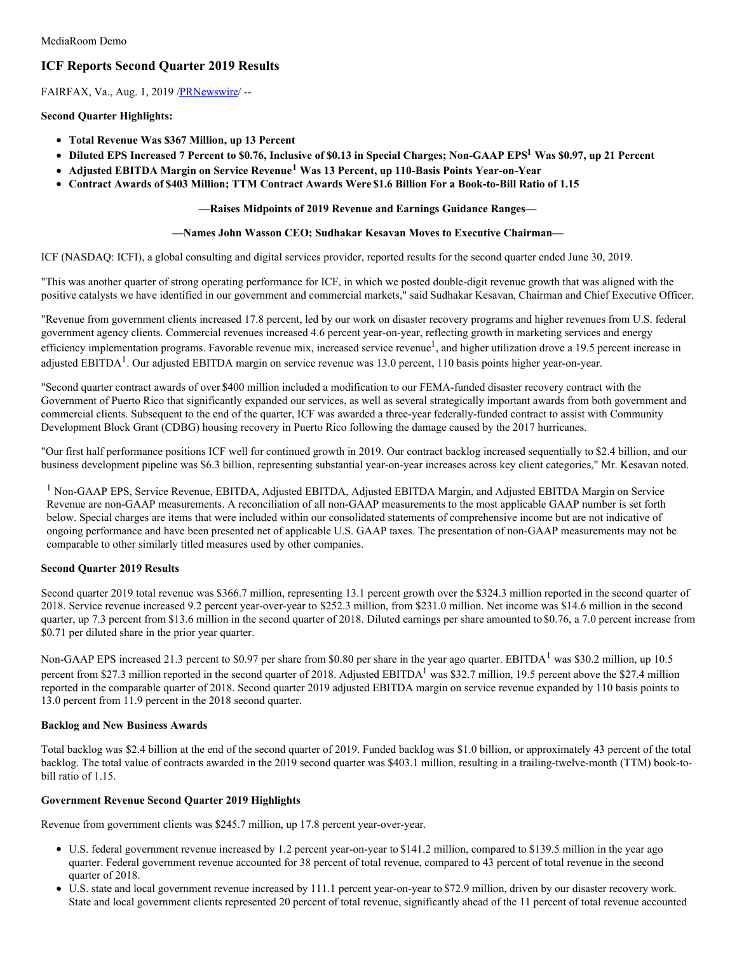# **ICF Reports Second Quarter 2019 Results**

FAIRFAX, Va., Aug. 1, 2019 / PRNewswire/ --

#### **Second Quarter Highlights:**

- **Total Revenue Was \$367 Million, up 13 Percent**
- Diluted EPS Increased 7 Percent to \$0.76, Inclusive of \$0.13 in Special Charges; Non-GAAP EPS<sup>1</sup> Was \$0.97, up 21 Percent
- **Adjusted EBITDA Margin on Service Revenue <sup>1</sup> Was 13 Percent, up 110-Basis Points Year-on-Year**
- **Contract Awards of \$403 Million; TTM Contract Awards Were \$1.6 Billion For a Book-to-Bill Ratio of 1.15**

#### **—Raises Midpoints of 2019 Revenue and Earnings Guidance Ranges—**

#### **—Names John Wasson CEO; Sudhakar Kesavan Moves to Executive Chairman—**

ICF (NASDAQ: ICFI), a global consulting and digital services provider, reported results for the second quarter ended June 30, 2019.

"This was another quarter of strong operating performance for ICF, in which we posted double-digit revenue growth that was aligned with the positive catalysts we have identified in our government and commercial markets," said Sudhakar Kesavan, Chairman and Chief Executive Officer.

"Revenue from government clients increased 17.8 percent, led by our work on disaster recovery programs and higher revenues from U.S. federal government agency clients. Commercial revenues increased 4.6 percent year-on-year, reflecting growth in marketing services and energy efficiency implementation programs. Favorable revenue mix, increased service revenue<sup>1</sup>, and higher utilization drove a 19.5 percent increase in adjusted EBITDA<sup>1</sup>. Our adjusted EBITDA margin on service revenue was 13.0 percent, 110 basis points higher year-on-year.

"Second quarter contract awards of over \$400 million included a modification to our FEMA-funded disaster recovery contract with the Government of Puerto Rico that significantly expanded our services, as well as several strategically important awards from both government and commercial clients. Subsequent to the end of the quarter, ICF was awarded a three-year federally-funded contract to assist with Community Development Block Grant (CDBG) housing recovery in Puerto Rico following the damage caused by the 2017 hurricanes.

"Our first half performance positions ICF well for continued growth in 2019. Our contract backlog increased sequentially to \$2.4 billion, and our business development pipeline was \$6.3 billion, representing substantial year-on-year increases across key client categories," Mr. Kesavan noted.

<sup>1</sup> Non-GAAP EPS, Service Revenue, EBITDA, Adjusted EBITDA, Adjusted EBITDA Margin, and Adjusted EBITDA Margin on Service Revenue are non-GAAP measurements. A reconciliation of all non-GAAP measurements to the most applicable GAAP number is set forth below. Special charges are items that were included within our consolidated statements of comprehensive income but are not indicative of ongoing performance and have been presented net of applicable U.S. GAAP taxes. The presentation of non-GAAP measurements may not be comparable to other similarly titled measures used by other companies.

## **Second Quarter 2019 Results**

Second quarter 2019 total revenue was \$366.7 million, representing 13.1 percent growth over the \$324.3 million reported in the second quarter of 2018. Service revenue increased 9.2 percent year-over-year to \$252.3 million, from \$231.0 million. Net income was \$14.6 million in the second quarter, up 7.3 percent from \$13.6 million in the second quarter of 2018. Diluted earnings per share amounted to \$0.76, a 7.0 percent increase from \$0.71 per diluted share in the prior year quarter.

Non-GAAP EPS increased 21.3 percent to \$0.97 per share from \$0.80 per share in the year ago quarter. EBITDA<sup>1</sup> was \$30.2 million, up 10.5 percent from \$27.3 million reported in the second quarter of 2018. Adjusted EBITDA<sup>1</sup> was \$32.7 million, 19.5 percent above the \$27.4 million reported in the comparable quarter of 2018. Second quarter 2019 adjusted EBITDA margin on service revenue expanded by 110 basis points to 13.0 percent from 11.9 percent in the 2018 second quarter.

#### **Backlog and New Business Awards**

Total backlog was \$2.4 billion at the end of the second quarter of 2019. Funded backlog was \$1.0 billion, or approximately 43 percent of the total backlog. The total value of contracts awarded in the 2019 second quarter was \$403.1 million, resulting in a trailing-twelve-month (TTM) book-tobill ratio of 1.15.

#### **Government Revenue Second Quarter 2019 Highlights**

Revenue from government clients was \$245.7 million, up 17.8 percent year-over-year.

- U.S. federal government revenue increased by 1.2 percent year-on-year to \$141.2 million, compared to \$139.5 million in the year ago quarter. Federal government revenue accounted for 38 percent of total revenue, compared to 43 percent of total revenue in the second quarter of 2018.
- U.S. state and local government revenue increased by 111.1 percent year-on-year to \$72.9 million, driven by our disaster recovery work. State and local government clients represented 20 percent of total revenue, significantly ahead of the 11 percent of total revenue accounted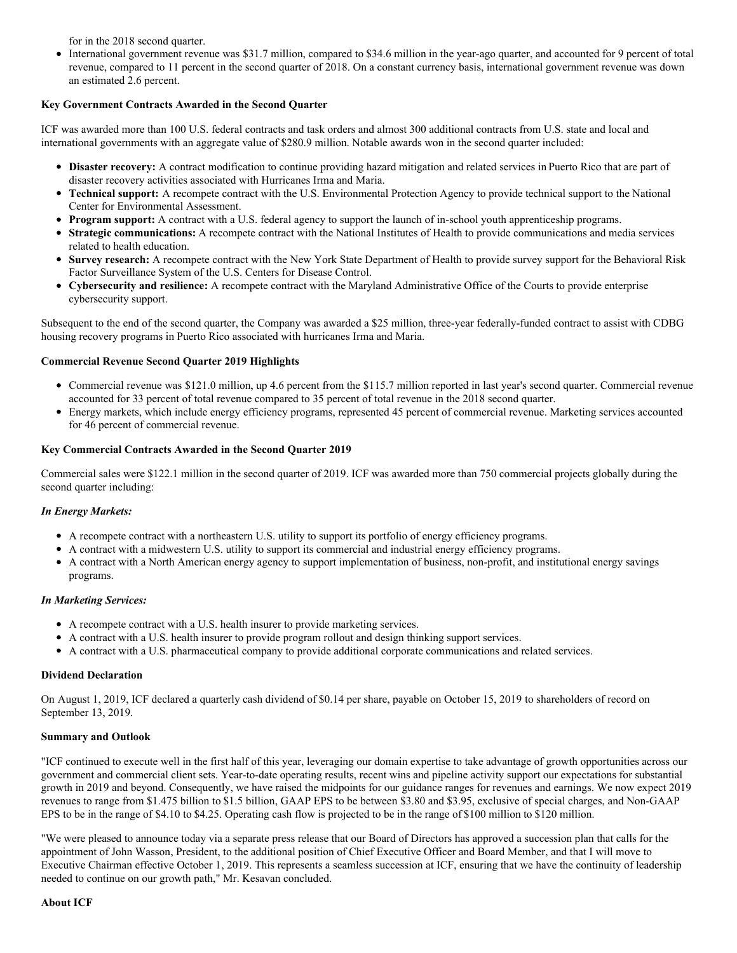for in the 2018 second quarter.

International government revenue was \$31.7 million, compared to \$34.6 million in the year-ago quarter, and accounted for 9 percent of total revenue, compared to 11 percent in the second quarter of 2018. On a constant currency basis, international government revenue was down an estimated 2.6 percent.

### **Key Government Contracts Awarded in the Second Quarter**

ICF was awarded more than 100 U.S. federal contracts and task orders and almost 300 additional contracts from U.S. state and local and international governments with an aggregate value of \$280.9 million. Notable awards won in the second quarter included:

- **Disaster recovery:** A contract modification to continue providing hazard mitigation and related services in Puerto Rico that are part of disaster recovery activities associated with Hurricanes Irma and Maria.
- **Technical support:** A recompete contract with the U.S. Environmental Protection Agency to provide technical support to the National  $\bullet$ Center for Environmental Assessment.
- **Program support:** A contract with a U.S. federal agency to support the launch of in-school youth apprenticeship programs.
- **Strategic communications:** A recompete contract with the National Institutes of Health to provide communications and media services related to health education.
- **Survey research:** A recompete contract with the New York State Department of Health to provide survey support for the Behavioral Risk Factor Surveillance System of the U.S. Centers for Disease Control.
- **Cybersecurity and resilience:** A recompete contract with the Maryland Administrative Office of the Courts to provide enterprise cybersecurity support.

Subsequent to the end of the second quarter, the Company was awarded a \$25 million, three-year federally-funded contract to assist with CDBG housing recovery programs in Puerto Rico associated with hurricanes Irma and Maria.

#### **Commercial Revenue Second Quarter 2019 Highlights**

- Commercial revenue was \$121.0 million, up 4.6 percent from the \$115.7 million reported in last year's second quarter. Commercial revenue accounted for 33 percent of total revenue compared to 35 percent of total revenue in the 2018 second quarter.
- Energy markets, which include energy efficiency programs, represented 45 percent of commercial revenue. Marketing services accounted for 46 percent of commercial revenue.

#### **Key Commercial Contracts Awarded in the Second Quarter 2019**

Commercial sales were \$122.1 million in the second quarter of 2019. ICF was awarded more than 750 commercial projects globally during the second quarter including:

#### *In Energy Markets:*

- A recompete contract with a northeastern U.S. utility to support its portfolio of energy efficiency programs.
- A contract with a midwestern U.S. utility to support its commercial and industrial energy efficiency programs.
- A contract with a North American energy agency to support implementation of business, non-profit, and institutional energy savings programs.

#### *In Marketing Services:*

- A recompete contract with a U.S. health insurer to provide marketing services.
- A contract with a U.S. health insurer to provide program rollout and design thinking support services.
- A contract with a U.S. pharmaceutical company to provide additional corporate communications and related services.

#### **Dividend Declaration**

On August 1, 2019, ICF declared a quarterly cash dividend of \$0.14 per share, payable on October 15, 2019 to shareholders of record on September 13, 2019.

#### **Summary and Outlook**

"ICF continued to execute well in the first half of this year, leveraging our domain expertise to take advantage of growth opportunities across our government and commercial client sets. Year-to-date operating results, recent wins and pipeline activity support our expectations for substantial growth in 2019 and beyond. Consequently, we have raised the midpoints for our guidance ranges for revenues and earnings. We now expect 2019 revenues to range from \$1.475 billion to \$1.5 billion, GAAP EPS to be between \$3.80 and \$3.95, exclusive of special charges, and Non-GAAP EPS to be in the range of \$4.10 to \$4.25. Operating cash flow is projected to be in the range of \$100 million to \$120 million.

"We were pleased to announce today via a separate press release that our Board of Directors has approved a succession plan that calls for the appointment of John Wasson, President, to the additional position of Chief Executive Officer and Board Member, and that I will move to Executive Chairman effective October 1, 2019. This represents a seamless succession at ICF, ensuring that we have the continuity of leadership needed to continue on our growth path," Mr. Kesavan concluded.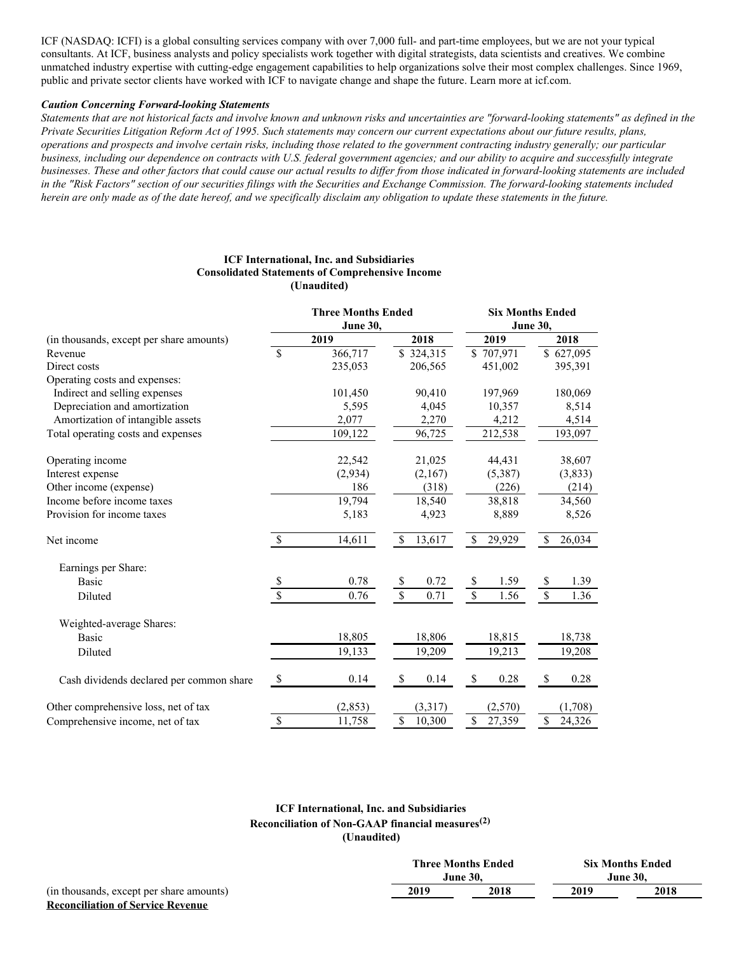ICF (NASDAQ: ICFI) is a global consulting services company with over 7,000 full- and part-time employees, but we are not your typical consultants. At ICF, business analysts and policy specialists work together with digital strategists, data scientists and creatives. We combine unmatched industry expertise with cutting-edge engagement capabilities to help organizations solve their most complex challenges. Since 1969, public and private sector clients have worked with ICF to navigate change and shape the future. Learn more at icf.com.

#### *Caution Concerning Forward-looking Statements*

Statements that are not historical facts and involve known and unknown risks and uncertainties are "forward-looking statements" as defined in the Private Securities Litigation Reform Act of 1995. Such statements may concern our current expectations about our future results, plans, operations and prospects and involve certain risks, including those related to the government contracting industry generally; our particular business, including our dependence on contracts with U.S. federal government agencies; and our ability to acquire and successfully integrate businesses. These and other factors that could cause our actual results to differ from those indicated in forward-looking statements are included in the "Risk Factors" section of our securities filings with the Securities and Exchange Commission. The forward-looking statements included herein are only made as of the date hereof, and we specifically disclaim any obligation to update these statements in the future.

#### **ICF International, Inc. and Subsidiaries Consolidated Statements of Comprehensive Income (Unaudited)**

|                                          |                          | <b>Three Months Ended</b><br><b>June 30,</b> |                           |                  | <b>Six Months Ended</b><br>June 30, |           |                          |           |
|------------------------------------------|--------------------------|----------------------------------------------|---------------------------|------------------|-------------------------------------|-----------|--------------------------|-----------|
| (in thousands, except per share amounts) |                          | 2019                                         |                           | 2018             |                                     | 2019      |                          | 2018      |
| Revenue                                  | $\overline{\mathcal{S}}$ | 366,717                                      |                           | $\sqrt{324,315}$ |                                     | \$707,971 |                          | \$627,095 |
| Direct costs                             |                          | 235,053                                      |                           | 206,565          |                                     | 451,002   |                          | 395,391   |
| Operating costs and expenses:            |                          |                                              |                           |                  |                                     |           |                          |           |
| Indirect and selling expenses            |                          | 101,450                                      |                           | 90,410           |                                     | 197,969   |                          | 180,069   |
| Depreciation and amortization            |                          | 5,595                                        |                           | 4,045            |                                     | 10,357    |                          | 8,514     |
| Amortization of intangible assets        |                          | 2,077                                        |                           | 2,270            |                                     | 4,212     |                          | 4,514     |
| Total operating costs and expenses       |                          | 109,122                                      |                           | 96,725           |                                     | 212,538   |                          | 193,097   |
| Operating income                         |                          | 22,542                                       |                           | 21,025           |                                     | 44,431    |                          | 38,607    |
| Interest expense                         |                          | (2,934)                                      |                           | (2,167)          |                                     | (5,387)   |                          | (3,833)   |
| Other income (expense)                   |                          | 186                                          |                           | (318)            |                                     | (226)     |                          | (214)     |
| Income before income taxes               |                          | 19,794                                       |                           | 18,540           |                                     | 38,818    |                          | 34,560    |
| Provision for income taxes               |                          | 5,183                                        |                           | 4,923            |                                     | 8,889     |                          | 8,526     |
| Net income                               | $\mathbb{S}$             | 14,611                                       | \$                        | 13,617           | \$                                  | 29,929    | S.                       | 26,034    |
| Earnings per Share:                      |                          |                                              |                           |                  |                                     |           |                          |           |
| <b>Basic</b>                             | \$                       | 0.78                                         | \$                        | 0.72             | $\mathbb S$                         | 1.59      | \$                       | 1.39      |
| Diluted                                  | \$                       | 0.76                                         | $\overline{\mathcal{S}}$  | 0.71             | $\overline{\mathcal{S}}$            | 1.56      | $\overline{\mathcal{S}}$ | 1.36      |
| Weighted-average Shares:                 |                          |                                              |                           |                  |                                     |           |                          |           |
| <b>Basic</b>                             |                          | 18,805                                       |                           | 18,806           |                                     | 18,815    |                          | 18,738    |
| Diluted                                  |                          | 19,133                                       |                           | 19,209           |                                     | 19,213    |                          | 19,208    |
| Cash dividends declared per common share | \$                       | 0.14                                         | $\boldsymbol{\mathsf{S}}$ | 0.14             | $\$$                                | 0.28      | \$                       | 0.28      |
| Other comprehensive loss, net of tax     |                          | (2, 853)                                     |                           | (3,317)          |                                     | (2,570)   |                          | (1,708)   |
| Comprehensive income, net of tax         | $\mathbb{S}$             | 11,758                                       | \$                        | 10,300           | \$                                  | 27,359    | \$                       | 24,326    |

## **ICF International, Inc. and Subsidiaries Reconciliation of Non-GAAP financial measures (2) (Unaudited)**

|                                          | <b>Three Months Ended</b> |                 | <b>Six Months Ended</b> |          |
|------------------------------------------|---------------------------|-----------------|-------------------------|----------|
|                                          |                           | <b>June 30.</b> |                         | June 30. |
| (in thousands, except per share amounts) | 2019                      | 2018            | 2019                    | 2018     |
| <b>Reconciliation of Service Revenue</b> |                           |                 |                         |          |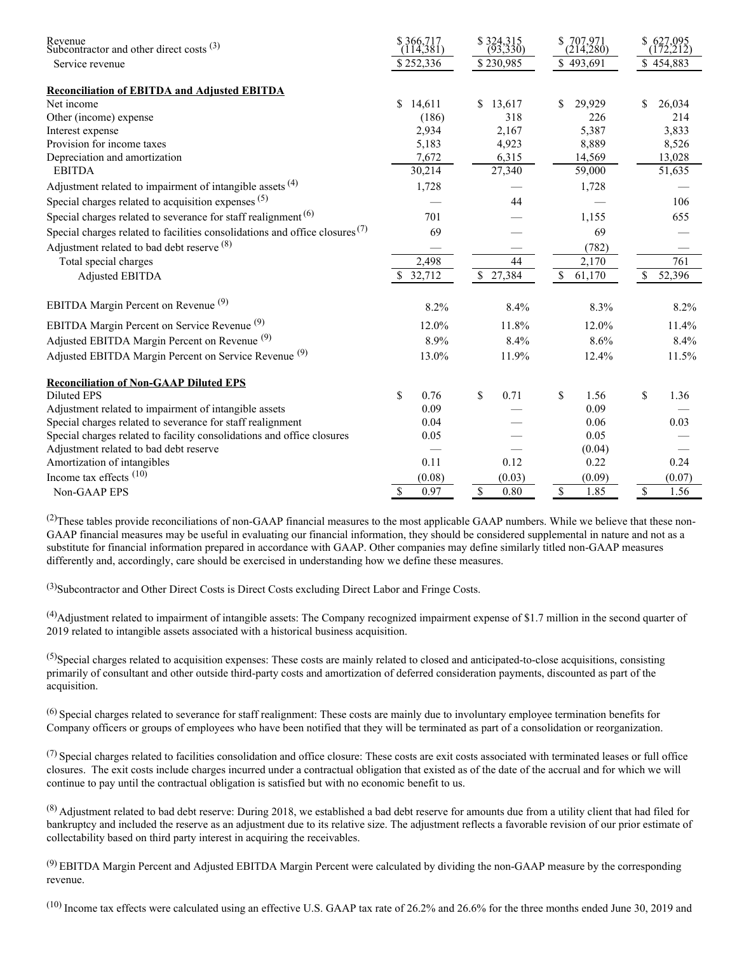| Revenue<br>Subcontractor and other direct costs $(3)$                                  | $$366,717$<br>(114,381) | $$324,315$<br>(93,330) | S.<br>$707,971$<br>(214,280) | \$<br>$627,095$<br>(172,212) |
|----------------------------------------------------------------------------------------|-------------------------|------------------------|------------------------------|------------------------------|
| Service revenue                                                                        | \$252,336               | \$230,985              | \$493,691                    | \$454,883                    |
| <b>Reconciliation of EBITDA and Adjusted EBITDA</b>                                    |                         |                        |                              |                              |
| Net income                                                                             | \$.<br>14,611           | $\mathbb{S}$<br>13,617 | \$<br>29.929                 | 26.034<br>\$                 |
| Other (income) expense                                                                 | (186)                   | 318                    | 226                          | 214                          |
| Interest expense                                                                       | 2,934                   | 2,167                  | 5,387                        | 3,833                        |
| Provision for income taxes                                                             | 5,183                   | 4,923                  | 8,889                        | 8,526                        |
| Depreciation and amortization                                                          | 7,672                   | 6,315                  | 14,569                       | 13,028                       |
| <b>EBITDA</b>                                                                          | 30,214                  | 27,340                 | 59,000                       | 51,635                       |
| Adjustment related to impairment of intangible assets $(4)$                            | 1,728                   |                        | 1,728                        |                              |
| Special charges related to acquisition expenses (5)                                    |                         | 44                     |                              | 106                          |
| Special charges related to severance for staff realignment <sup><math>(6)</math></sup> | 701                     |                        | 1.155                        | 655                          |
| Special charges related to facilities consolidations and office closures $(7)$         | 69                      |                        | 69                           |                              |
| Adjustment related to bad debt reserve (8)                                             |                         |                        | (782)                        |                              |
| Total special charges                                                                  | 2,498                   | 44                     | 2,170                        | 761                          |
| <b>Adjusted EBITDA</b>                                                                 | 32,712                  | \$27,384               | $\mathbb{S}$<br>61,170       | $\mathbb{S}$<br>52,396       |
| EBITDA Margin Percent on Revenue <sup>(9)</sup>                                        | 8.2%                    | 8.4%                   | 8.3%                         | 8.2%                         |
| EBITDA Margin Percent on Service Revenue <sup>(9)</sup>                                | 12.0%                   | 11.8%                  | 12.0%                        | 11.4%                        |
| Adjusted EBITDA Margin Percent on Revenue <sup>(9)</sup>                               | 8.9%                    | 8.4%                   | 8.6%                         | 8.4%                         |
| Adjusted EBITDA Margin Percent on Service Revenue <sup>(9)</sup>                       | 13.0%                   | 11.9%                  | 12.4%                        | 11.5%                        |
| <b>Reconciliation of Non-GAAP Diluted EPS</b>                                          |                         |                        |                              |                              |
| <b>Diluted EPS</b>                                                                     | \$<br>0.76              | \$<br>0.71             | \$<br>1.56                   | \$<br>1.36                   |
| Adjustment related to impairment of intangible assets                                  | 0.09                    |                        | 0.09                         |                              |
| Special charges related to severance for staff realignment                             | 0.04                    |                        | 0.06                         | 0.03                         |
| Special charges related to facility consolidations and office closures                 | 0.05                    |                        | 0.05                         |                              |
| Adjustment related to bad debt reserve                                                 |                         |                        | (0.04)                       |                              |
| Amortization of intangibles                                                            | 0.11                    | 0.12                   | 0.22                         | 0.24                         |
| Income tax effects $(10)$                                                              | (0.08)                  | (0.03)                 | (0.09)                       | (0.07)                       |
| Non-GAAP EPS                                                                           | 0.97<br><sup>\$</sup>   | \$<br>0.80             | $\mathbb S$<br>1.85          | $\mathbb{S}$<br>1.56         |

 $^{(2)}$ These tables provide reconciliations of non-GAAP financial measures to the most applicable GAAP numbers. While we believe that these non-GAAP financial measures may be useful in evaluating our financial information, they should be considered supplemental in nature and not as a substitute for financial information prepared in accordance with GAAP. Other companies may define similarly titled non-GAAP measures differently and, accordingly, care should be exercised in understanding how we define these measures.

(3)Subcontractor and Other Direct Costs is Direct Costs excluding Direct Labor and Fringe Costs.

 $<sup>(4)</sup>$ Adjustment related to impairment of intangible assets: The Company recognized impairment expense of \$1.7 million in the second quarter of</sup> 2019 related to intangible assets associated with a historical business acquisition.

 $^{(5)}$ Special charges related to acquisition expenses: These costs are mainly related to closed and anticipated-to-close acquisitions, consisting primarily of consultant and other outside third-party costs and amortization of deferred consideration payments, discounted as part of the acquisition.

 $<sup>(6)</sup> Special charges related to severe for staff realignment: These costs are mainly due to involuntary employee termination benefits for$ </sup> Company officers or groups of employees who have been notified that they will be terminated as part of a consolidation or reorganization.

 $<sup>(7)</sup>$  Special charges related to facilities consolidation and office closure: These costs are exit costs associated with terminated leases or full office</sup> closures. The exit costs include charges incurred under a contractual obligation that existed as of the date of the accrual and for which we will continue to pay until the contractual obligation is satisfied but with no economic benefit to us.

 $^{(8)}$  Adjustment related to bad debt reserve: During 2018, we established a bad debt reserve for amounts due from a utility client that had filed for bankruptcy and included the reserve as an adjustment due to its relative size. The adjustment reflects a favorable revision of our prior estimate of collectability based on third party interest in acquiring the receivables.

 $^{(9)}$  EBITDA Margin Percent and Adjusted EBITDA Margin Percent were calculated by dividing the non-GAAP measure by the corresponding revenue.

 $(10)$  Income tax effects were calculated using an effective U.S. GAAP tax rate of 26.2% and 26.6% for the three months ended June 30, 2019 and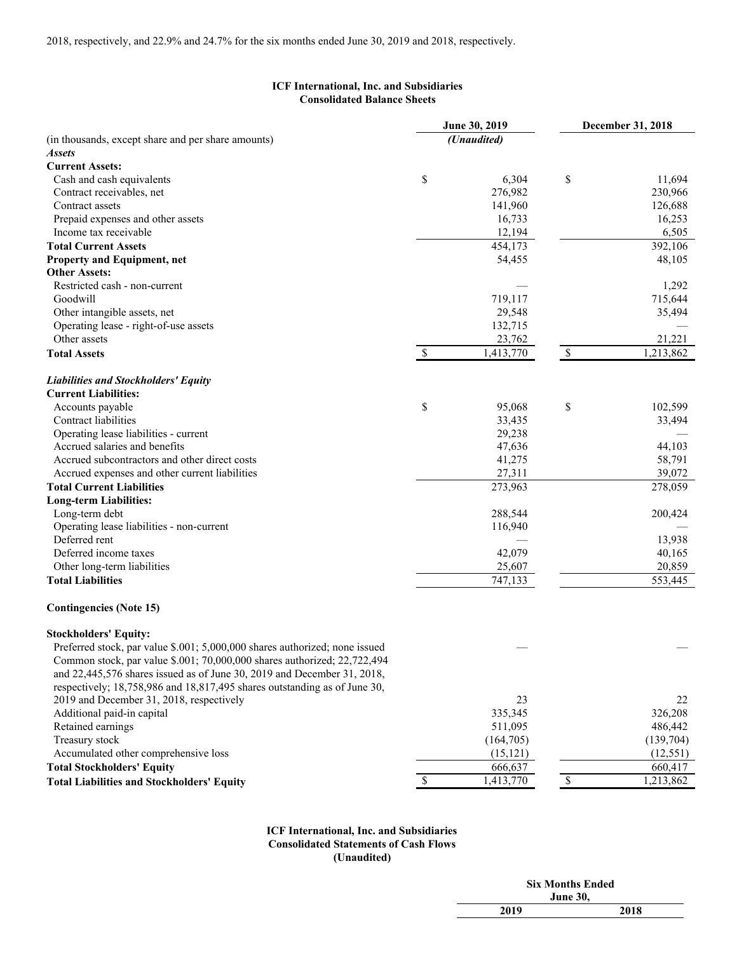## **ICF International, Inc. and Subsidiaries Consolidated Balance Sheets**

|                                                                             |               | June 30, 2019 | December 31, 2018 |           |  |
|-----------------------------------------------------------------------------|---------------|---------------|-------------------|-----------|--|
| (in thousands, except share and per share amounts)                          |               | (Unaudited)   |                   |           |  |
| Assets                                                                      |               |               |                   |           |  |
| <b>Current Assets:</b>                                                      |               |               |                   |           |  |
| Cash and cash equivalents                                                   | \$            | 6,304         | \$                | 11,694    |  |
| Contract receivables, net                                                   |               | 276,982       |                   | 230,966   |  |
| Contract assets                                                             |               | 141,960       |                   | 126,688   |  |
| Prepaid expenses and other assets                                           |               | 16,733        |                   | 16,253    |  |
| Income tax receivable                                                       |               | 12,194        |                   | 6,505     |  |
| <b>Total Current Assets</b>                                                 |               | 454,173       |                   | 392,106   |  |
| Property and Equipment, net                                                 |               | 54,455        |                   | 48,105    |  |
| <b>Other Assets:</b>                                                        |               |               |                   |           |  |
| Restricted cash - non-current                                               |               |               |                   | 1,292     |  |
| Goodwill                                                                    |               | 719,117       |                   | 715,644   |  |
| Other intangible assets, net                                                |               | 29,548        |                   | 35,494    |  |
| Operating lease - right-of-use assets                                       |               | 132,715       |                   |           |  |
| Other assets                                                                |               | 23,762        |                   | 21,221    |  |
| <b>Total Assets</b>                                                         | $\mathcal{S}$ | 1,413,770     | $\mathbb{S}$      | 1,213,862 |  |
|                                                                             |               |               |                   |           |  |
| <b>Liabilities and Stockholders' Equity</b>                                 |               |               |                   |           |  |
| <b>Current Liabilities:</b>                                                 |               |               |                   |           |  |
| Accounts payable                                                            | \$            | 95,068        | \$                | 102,599   |  |
| Contract liabilities                                                        |               | 33,435        |                   | 33,494    |  |
| Operating lease liabilities - current                                       |               | 29,238        |                   |           |  |
| Accrued salaries and benefits                                               |               | 47,636        |                   | 44,103    |  |
| Accrued subcontractors and other direct costs                               |               | 41,275        |                   | 58,791    |  |
| Accrued expenses and other current liabilities                              |               | 27,311        |                   | 39,072    |  |
| <b>Total Current Liabilities</b>                                            |               | 273,963       |                   | 278,059   |  |
| <b>Long-term Liabilities:</b>                                               |               |               |                   |           |  |
| Long-term debt                                                              |               | 288,544       |                   | 200,424   |  |
| Operating lease liabilities - non-current                                   |               | 116,940       |                   |           |  |
| Deferred rent                                                               |               |               |                   | 13,938    |  |
| Deferred income taxes                                                       |               | 42,079        |                   | 40,165    |  |
| Other long-term liabilities                                                 |               | 25,607        |                   | 20,859    |  |
| <b>Total Liabilities</b>                                                    |               | 747,133       |                   | 553,445   |  |
| <b>Contingencies (Note 15)</b>                                              |               |               |                   |           |  |
| <b>Stockholders' Equity:</b>                                                |               |               |                   |           |  |
| Preferred stock, par value \$.001; 5,000,000 shares authorized; none issued |               |               |                   |           |  |
| Common stock, par value \$.001; 70,000,000 shares authorized; 22,722,494    |               |               |                   |           |  |
| and 22,445,576 shares issued as of June 30, 2019 and December 31, 2018,     |               |               |                   |           |  |
| respectively; 18,758,986 and 18,817,495 shares outstanding as of June 30,   |               |               |                   |           |  |
| 2019 and December 31, 2018, respectively                                    |               | 23            |                   | 22        |  |
| Additional paid-in capital                                                  |               | 335,345       |                   | 326,208   |  |
| Retained earnings                                                           |               | 511,095       |                   | 486,442   |  |
| Treasury stock                                                              |               | (164, 705)    |                   | (139,704) |  |
| Accumulated other comprehensive loss                                        |               | (15, 121)     |                   | (12, 551) |  |
| <b>Total Stockholders' Equity</b>                                           |               | 666,637       |                   | 660,417   |  |
| <b>Total Liabilities and Stockholders' Equity</b>                           | \$            | 1,413,770     | $\mathbb S$       | 1,213,862 |  |
|                                                                             |               |               |                   |           |  |

### **ICF International, Inc. and Subsidiaries Consolidated Statements of Cash Flows (Unaudited)**

| <b>Six Months Ended</b> |  |  |  |  |
|-------------------------|--|--|--|--|
| <b>June 30,</b>         |  |  |  |  |
| 2019<br>2018            |  |  |  |  |
|                         |  |  |  |  |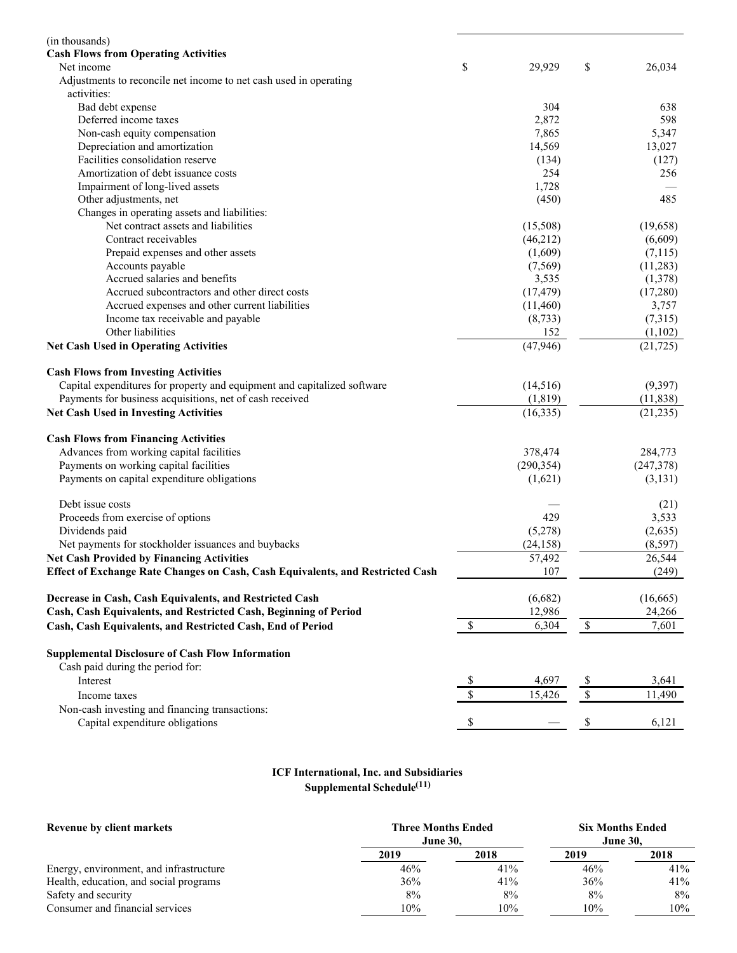| (in thousands)                                                                 |              |            |              |           |
|--------------------------------------------------------------------------------|--------------|------------|--------------|-----------|
| <b>Cash Flows from Operating Activities</b>                                    |              |            |              |           |
| Net income                                                                     | \$           | 29,929     | \$           | 26,034    |
| Adjustments to reconcile net income to net cash used in operating              |              |            |              |           |
| activities:                                                                    |              |            |              |           |
| Bad debt expense                                                               |              | 304        |              | 638       |
| Deferred income taxes                                                          |              | 2,872      |              | 598       |
| Non-cash equity compensation                                                   |              | 7,865      |              | 5,347     |
| Depreciation and amortization                                                  |              | 14,569     |              | 13,027    |
| Facilities consolidation reserve                                               |              | (134)      |              | (127)     |
| Amortization of debt issuance costs                                            |              | 254        |              | 256       |
| Impairment of long-lived assets                                                |              | 1,728      |              |           |
| Other adjustments, net                                                         |              | (450)      |              | 485       |
| Changes in operating assets and liabilities:                                   |              |            |              |           |
| Net contract assets and liabilities                                            |              | (15,508)   |              | (19, 658) |
| Contract receivables                                                           |              | (46,212)   |              | (6,609)   |
| Prepaid expenses and other assets                                              |              | (1,609)    |              | (7,115)   |
| Accounts payable                                                               |              | (7, 569)   |              | (11, 283) |
| Accrued salaries and benefits                                                  |              | 3,535      |              | (1,378)   |
| Accrued subcontractors and other direct costs                                  |              | (17, 479)  |              | (17,280)  |
| Accrued expenses and other current liabilities                                 |              | (11,460)   |              | 3,757     |
| Income tax receivable and payable                                              |              | (8, 733)   |              | (7,315)   |
| Other liabilities                                                              |              | 152        |              | (1,102)   |
| <b>Net Cash Used in Operating Activities</b>                                   |              | (47, 946)  |              | (21, 725) |
| <b>Cash Flows from Investing Activities</b>                                    |              |            |              |           |
| Capital expenditures for property and equipment and capitalized software       |              | (14,516)   |              | (9,397)   |
| Payments for business acquisitions, net of cash received                       |              | (1, 819)   |              | (11, 838) |
| <b>Net Cash Used in Investing Activities</b>                                   |              | (16, 335)  |              | (21, 235) |
| <b>Cash Flows from Financing Activities</b>                                    |              |            |              |           |
| Advances from working capital facilities                                       |              | 378,474    |              | 284,773   |
| Payments on working capital facilities                                         |              | (290, 354) |              | (247,378) |
| Payments on capital expenditure obligations                                    |              | (1,621)    |              | (3,131)   |
| Debt issue costs                                                               |              |            |              | (21)      |
| Proceeds from exercise of options                                              |              | 429        |              | 3,533     |
| Dividends paid                                                                 |              | (5,278)    |              | (2,635)   |
| Net payments for stockholder issuances and buybacks                            |              | (24, 158)  |              | (8,597)   |
| <b>Net Cash Provided by Financing Activities</b>                               |              | 57,492     |              | 26,544    |
| Effect of Exchange Rate Changes on Cash, Cash Equivalents, and Restricted Cash |              | 107        |              | (249)     |
| Decrease in Cash, Cash Equivalents, and Restricted Cash                        |              | (6,682)    |              | (16, 665) |
| Cash, Cash Equivalents, and Restricted Cash, Beginning of Period               |              | 12,986     |              | 24,266    |
| Cash, Cash Equivalents, and Restricted Cash, End of Period                     | $\$$         | 6,304      | $\mathbb{S}$ | 7,601     |
| <b>Supplemental Disclosure of Cash Flow Information</b>                        |              |            |              |           |
| Cash paid during the period for:                                               |              |            |              |           |
| Interest                                                                       | \$           | 4,697      | \$           | 3,641     |
| Income taxes                                                                   | $\mathbb{S}$ | 15,426     | $\mathbb{S}$ | 11,490    |
| Non-cash investing and financing transactions:                                 |              |            |              |           |
| Capital expenditure obligations                                                | \$           |            | \$           | 6,121     |
|                                                                                |              |            |              |           |

#### **ICF International, Inc. and Subsidiaries Supplemental Schedule (11)**

| Revenue by client markets               | <b>Three Months Ended</b><br><b>June 30.</b> | <b>Six Months Ended</b><br><b>June 30.</b> |      |      |
|-----------------------------------------|----------------------------------------------|--------------------------------------------|------|------|
|                                         | 2019                                         | 2018                                       | 2019 | 2018 |
| Energy, environment, and infrastructure | 46%                                          | 41%                                        | 46%  | 41%  |
| Health, education, and social programs  | 36%                                          | 41%                                        | 36%  | 41%  |
| Safety and security                     | 8%                                           | 8%                                         | 8%   | 8%   |
| Consumer and financial services         | 10%                                          | 10%                                        | 10%  | 10%  |